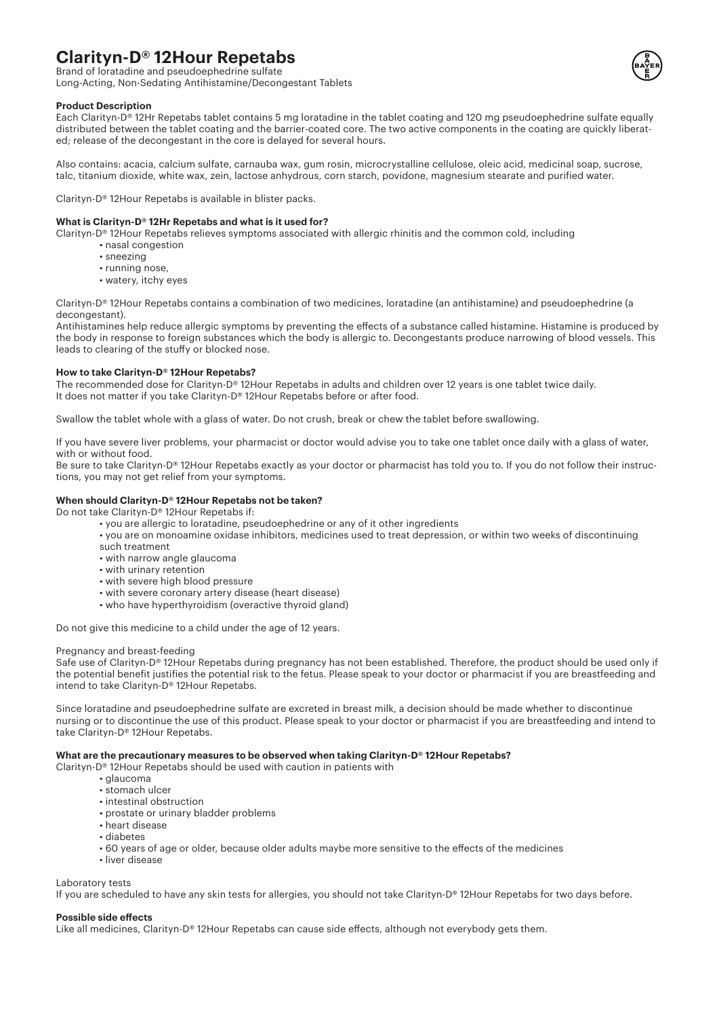# **Clarityn-D® 12Hour Repetabs**

Brand of loratadine and pseudoephedrine sulfate Long-Acting, Non-Sedating Antihistamine/Decongestant Tablets



## **Product Description**

Each Clarityn-D® 12Hr Repetabs tablet contains 5 mg loratadine in the tablet coating and 120 mg pseudoephedrine sulfate equally distributed between the tablet coating and the barrier-coated core. The two active components in the coating are quickly liberated; release of the decongestant in the core is delayed for several hours.

Also contains: acacia, calcium sulfate, carnauba wax, gum rosin, microcrystalline cellulose, oleic acid, medicinal soap, sucrose, talc, titanium dioxide, white wax, zein, lactose anhydrous, corn starch, povidone, magnesium stearate and purified water.

Clarityn-D® 12Hour Repetabs is available in blister packs.

## **What is Clarityn-D® 12Hr Repetabs and what is it used for?**

Clarityn-D® 12Hour Repetabs relieves symptoms associated with allergic rhinitis and the common cold, including

- nasal congestion
- sneezing
- running nose,
- watery, itchy eyes

Clarityn-D® 12Hour Repetabs contains a combination of two medicines, loratadine (an antihistamine) and pseudoephedrine (a decongestant).

Antihistamines help reduce allergic symptoms by preventing the effects of a substance called histamine. Histamine is produced by the body in response to foreign substances which the body is allergic to. Decongestants produce narrowing of blood vessels. This leads to clearing of the stuffy or blocked nose.

## **How to take Clarityn-D® 12Hour Repetabs?**

The recommended dose for Clarityn-D® 12Hour Repetabs in adults and children over 12 years is one tablet twice daily. It does not matter if you take Clarityn-D® 12Hour Repetabs before or after food.

Swallow the tablet whole with a glass of water. Do not crush, break or chew the tablet before swallowing.

If you have severe liver problems, your pharmacist or doctor would advise you to take one tablet once daily with a glass of water, with or without food.

Be sure to take Clarityn-D® 12Hour Repetabs exactly as your doctor or pharmacist has told you to. If you do not follow their instructions, you may not get relief from your symptoms.

## **When should Clarityn-D® 12Hour Repetabs not be taken?**

Do not take Clarityn-D® 12Hour Repetabs if:

- you are allergic to loratadine, pseudoephedrine or any of it other ingredients
- you are on monoamine oxidase inhibitors, medicines used to treat depression, or within two weeks of discontinuing such treatment
- with narrow angle glaucoma
- with urinary retention
- with severe high blood pressure
- with severe coronary artery disease (heart disease)
- who have hyperthyroidism (overactive thyroid gland)

Do not give this medicine to a child under the age of 12 years.

## Pregnancy and breast-feeding

Safe use of Clarityn-D® 12Hour Repetabs during pregnancy has not been established. Therefore, the product should be used only if the potential benefit justifies the potential risk to the fetus. Please speak to your doctor or pharmacist if you are breastfeeding and intend to take Clarityn-D® 12Hour Repetabs.

Since loratadine and pseudoephedrine sulfate are excreted in breast milk, a decision should be made whether to discontinue nursing or to discontinue the use of this product. Please speak to your doctor or pharmacist if you are breastfeeding and intend to take Clarityn-D® 12Hour Repetabs.

## **What are the precautionary measures to be observed when taking Clarityn-D® 12Hour Repetabs?**

Clarityn-D® 12Hour Repetabs should be used with caution in patients with

- glaucoma
- stomach ulcer
- intestinal obstruction
- prostate or urinary bladder problems
- heart disease
- diabetes
- 60 years of age or older, because older adults maybe more sensitive to the effects of the medicines
- liver disease

## Laboratory tests

If you are scheduled to have any skin tests for allergies, you should not take Clarityn-D® 12Hour Repetabs for two days before.

#### **Possible side effects**

Like all medicines, Clarityn-D® 12Hour Repetabs can cause side effects, although not everybody gets them.